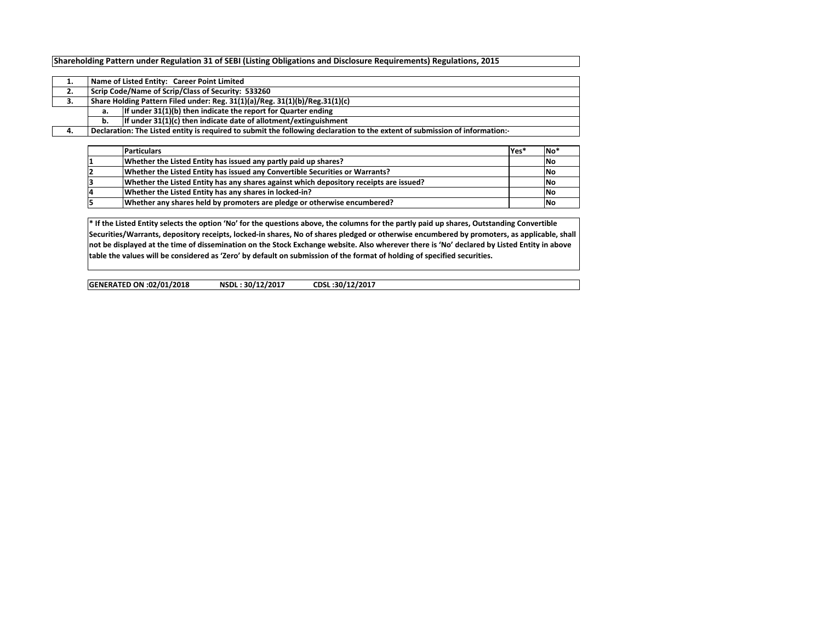## Shareholding Pattern under Regulation 31 of SEBI (Listing Obligations and Disclosure Requirements) Regulations, 2015

| . . |    | Name of Listed Entity: Career Point Limited                                                                                |  |  |  |  |  |  |  |  |  |  |  |
|-----|----|----------------------------------------------------------------------------------------------------------------------------|--|--|--|--|--|--|--|--|--|--|--|
| 2.  |    | Scrip Code/Name of Scrip/Class of Security: 533260                                                                         |  |  |  |  |  |  |  |  |  |  |  |
| 3.  |    | Share Holding Pattern Filed under: Reg. 31(1)(a)/Reg. 31(1)(b)/Reg.31(1)(c)                                                |  |  |  |  |  |  |  |  |  |  |  |
|     | а. | If under 31(1)(b) then indicate the report for Quarter ending                                                              |  |  |  |  |  |  |  |  |  |  |  |
|     | b. | If under 31(1)(c) then indicate date of allotment/extinguishment                                                           |  |  |  |  |  |  |  |  |  |  |  |
| 4.  |    | Declaration: The Listed entity is required to submit the following declaration to the extent of submission of information: |  |  |  |  |  |  |  |  |  |  |  |

| <b>Particulars</b>                                                                     | lYes* | IN <sub>O</sub> |
|----------------------------------------------------------------------------------------|-------|-----------------|
| Whether the Listed Entity has issued any partly paid up shares?                        |       | <b>INo</b>      |
| Whether the Listed Entity has issued any Convertible Securities or Warrants?           |       | <b>INo</b>      |
| Whether the Listed Entity has any shares against which depository receipts are issued? |       | <b>INo</b>      |
| Whether the Listed Entity has any shares in locked-in?                                 |       | <b>INo</b>      |
| Whether any shares held by promoters are pledge or otherwise encumbered?               |       | <b>INo</b>      |

\* If the Listed Entity selects the option 'No' for the questions above, the columns for the partly paid up shares, Outstanding Convertible Securities/Warrants, depository receipts, locked-in shares, No of shares pledged or otherwise encumbered by promoters, as applicable, shall not be displayed at the time of dissemination on the Stock Exchange website. Also wherever there is 'No' declared by Listed Entity in above table the values will be considered as 'Zero' by default on submission of the format of holding of specified securities.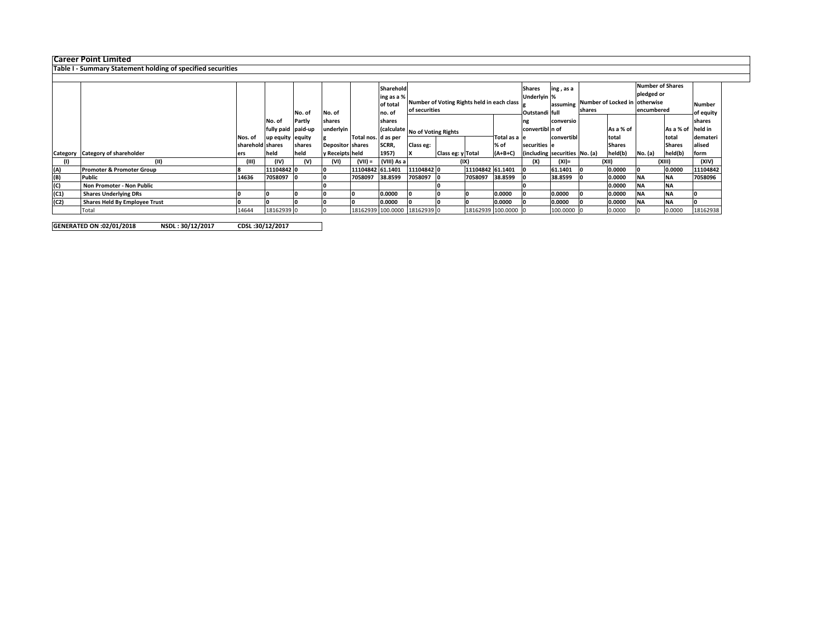Career Point Limited Table I - Summary Statement holding of specified securities

|      |                                      |                  |                    |        |                          |                     | Sharehold   |                                            |                   |                     | <b>Shares</b> | ing, as a                     |                               |  | <b>Number of Shares</b> |           |               |          |  |
|------|--------------------------------------|------------------|--------------------|--------|--------------------------|---------------------|-------------|--------------------------------------------|-------------------|---------------------|---------------|-------------------------------|-------------------------------|--|-------------------------|-----------|---------------|----------|--|
|      |                                      |                  |                    |        |                          |                     | ing as a %  |                                            |                   |                     |               |                               | Underlyin %                   |  |                         |           | pledged or    |          |  |
|      |                                      |                  |                    |        |                          |                     | of total    | Number of Voting Rights held in each class |                   |                     | assuming      |                               | Number of Locked in otherwise |  |                         | Number    |               |          |  |
|      |                                      |                  |                    |        |                          |                     | no. of      | of securities                              |                   |                     |               |                               | shares                        |  | encumbered              | of equity |               |          |  |
|      |                                      |                  |                    | No. of | No. of                   |                     |             |                                            |                   |                     |               | Outstandi full                |                               |  |                         |           |               |          |  |
|      |                                      |                  | No. of             | Partly | shares                   |                     | shares      |                                            |                   | ng                  | conversio     |                               |                               |  |                         | shares    |               |          |  |
|      |                                      |                  | fully paid paid-up |        | underlyin                |                     |             | (calculate No of Voting Rights             |                   | convertibl n of     |               |                               | As a % of                     |  | As a % of held in       |           |               |          |  |
|      |                                      | Nos. of          | up equity equity   |        |                          | Total nos. d as per |             |                                            |                   |                     | Total as a le |                               | convertibl                    |  | total                   |           | total         | demateri |  |
|      |                                      | sharehold shares |                    | shares | <b>Depositor Ishares</b> |                     | SCRR,       | Class eg:                                  |                   |                     | % of          | securities le                 |                               |  | <b>Shares</b>           |           | <b>Shares</b> | lalised  |  |
|      | Category Category of shareholder     | ers              | held               | held   | y Receipts held          |                     | 1957)       |                                            | Class eg: y Total |                     | $(A+B+C)$     | (including securities No. (a) |                               |  | held(b)                 | No. (a)   | held(b)       | form     |  |
|      | (11)                                 | (III)            | (IV)               | (V)    | (VI)                     | $(VII) =$           | (VIII) As a |                                            |                   | (IX)                |               | (X)                           | (XI)=                         |  | (XII)                   |           | (XIII)        | (XIV)    |  |
| (A)  | <b>Promoter &amp; Promoter Group</b> |                  | 11104842 0         |        |                          | 11104842 61.1401    |             | 11104842 0                                 |                   | 11104842 61.1401    |               |                               | 61.1401                       |  | 0.0000                  |           | 0.0000        | 11104842 |  |
| (B)  | Public                               | 14636            | 7058097            |        |                          | 7058097             | 38.8599     | 7058097 0                                  |                   | 7058097             | 38.8599       |                               | 38.8599                       |  | 0.0000                  | <b>NA</b> | <b>NA</b>     | 7058096  |  |
| (C)  | Non Promoter - Non Public            |                  |                    |        |                          |                     |             |                                            |                   |                     |               |                               |                               |  | 0.0000                  | <b>NA</b> | <b>NA</b>     |          |  |
| (C1) | <b>Shares Underlying DRs</b>         |                  |                    |        |                          |                     | 0.0000      |                                            |                   |                     | 0.0000        |                               | 0.0000                        |  | 0.0000                  | <b>NA</b> | <b>NA</b>     |          |  |
| (C2) | <b>Shares Held By Employee Trust</b> |                  |                    |        |                          |                     | 0.0000      |                                            |                   |                     | 0.0000        |                               | 0.0000                        |  | 0.0000                  | <b>NA</b> | <b>NA</b>     |          |  |
|      | Total                                | 14644            | 18162939 0         |        |                          |                     |             | 18162939 100.0000 18162939 0               |                   | 18162939 100.0000 0 |               |                               | 100.0000 0                    |  | 0.0000                  |           | 0.0000        | 18162938 |  |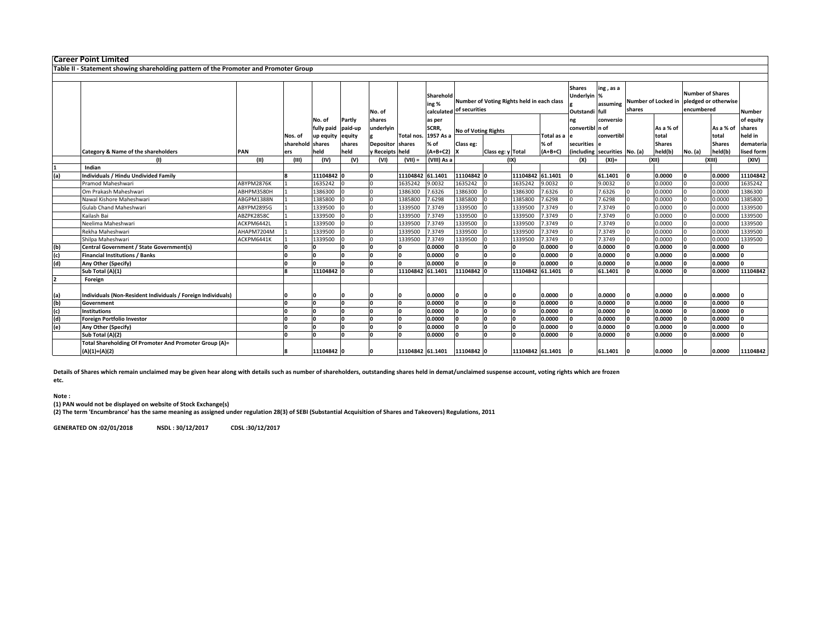|                        |                                                                                                                                                                                                                                                                                                                                                                                                                                                                                                                                                                                                            |         |            |                                                                                                                      | No. of                                                                           |            | ing %                                                                     |                                                                                                                         |                                                                         |                                                                                                     |                                             | <b>Shares</b>                                                                                                                                                                                                                            | ing, as a         | shares                                                                                                                                    |                                             | <b>Number of Shares</b><br>encumbered         |           | Number                                                                                                                                     |
|------------------------|------------------------------------------------------------------------------------------------------------------------------------------------------------------------------------------------------------------------------------------------------------------------------------------------------------------------------------------------------------------------------------------------------------------------------------------------------------------------------------------------------------------------------------------------------------------------------------------------------------|---------|------------|----------------------------------------------------------------------------------------------------------------------|----------------------------------------------------------------------------------|------------|---------------------------------------------------------------------------|-------------------------------------------------------------------------------------------------------------------------|-------------------------------------------------------------------------|-----------------------------------------------------------------------------------------------------|---------------------------------------------|------------------------------------------------------------------------------------------------------------------------------------------------------------------------------------------------------------------------------------------|-------------------|-------------------------------------------------------------------------------------------------------------------------------------------|---------------------------------------------|-----------------------------------------------|-----------|--------------------------------------------------------------------------------------------------------------------------------------------|
|                        |                                                                                                                                                                                                                                                                                                                                                                                                                                                                                                                                                                                                            |         | No. of     | Partly                                                                                                               | shares                                                                           |            | as per                                                                    |                                                                                                                         |                                                                         |                                                                                                     |                                             | ng                                                                                                                                                                                                                                       | conversio         |                                                                                                                                           |                                             |                                               |           | of equity                                                                                                                                  |
|                        |                                                                                                                                                                                                                                                                                                                                                                                                                                                                                                                                                                                                            |         | fully paid | paid-up                                                                                                              | underlyin                                                                        |            | SCRR,                                                                     |                                                                                                                         |                                                                         |                                                                                                     |                                             |                                                                                                                                                                                                                                          |                   |                                                                                                                                           | As a % of                                   |                                               | As a % of | shares                                                                                                                                     |
|                        |                                                                                                                                                                                                                                                                                                                                                                                                                                                                                                                                                                                                            | Nos. of | up equity  |                                                                                                                      |                                                                                  | Total nos. |                                                                           |                                                                                                                         |                                                                         |                                                                                                     |                                             |                                                                                                                                                                                                                                          |                   |                                                                                                                                           | total                                       |                                               | total     | held in                                                                                                                                    |
|                        |                                                                                                                                                                                                                                                                                                                                                                                                                                                                                                                                                                                                            |         |            | shares                                                                                                               |                                                                                  |            | % of                                                                      | Class eg:                                                                                                               |                                                                         |                                                                                                     |                                             |                                                                                                                                                                                                                                          |                   |                                                                                                                                           | <b>Shares</b>                               |                                               |           | demateria                                                                                                                                  |
|                        | PAN                                                                                                                                                                                                                                                                                                                                                                                                                                                                                                                                                                                                        | ers     | held       |                                                                                                                      |                                                                                  |            | $(A+B+C2)$                                                                |                                                                                                                         |                                                                         |                                                                                                     |                                             |                                                                                                                                                                                                                                          |                   |                                                                                                                                           | held(b)                                     |                                               |           | lised form                                                                                                                                 |
|                        | (II)                                                                                                                                                                                                                                                                                                                                                                                                                                                                                                                                                                                                       | (III)   | (IV)       | (V)                                                                                                                  | (VI)                                                                             | $(VII) =$  | (VIII) As a                                                               |                                                                                                                         |                                                                         |                                                                                                     |                                             | (X)                                                                                                                                                                                                                                      | $(XI) =$          |                                                                                                                                           |                                             |                                               |           | (XIV)                                                                                                                                      |
| Indian                 |                                                                                                                                                                                                                                                                                                                                                                                                                                                                                                                                                                                                            |         |            |                                                                                                                      |                                                                                  |            |                                                                           |                                                                                                                         |                                                                         |                                                                                                     |                                             |                                                                                                                                                                                                                                          |                   |                                                                                                                                           |                                             |                                               |           |                                                                                                                                            |
|                        |                                                                                                                                                                                                                                                                                                                                                                                                                                                                                                                                                                                                            |         |            |                                                                                                                      |                                                                                  |            |                                                                           |                                                                                                                         |                                                                         |                                                                                                     |                                             |                                                                                                                                                                                                                                          | 61.1401           |                                                                                                                                           | 0.0000                                      |                                               |           | 11104842                                                                                                                                   |
|                        | ABYPM2876K                                                                                                                                                                                                                                                                                                                                                                                                                                                                                                                                                                                                 |         | 1635242    |                                                                                                                      |                                                                                  | 1635242    | 9.0032                                                                    |                                                                                                                         |                                                                         | 1635242                                                                                             |                                             |                                                                                                                                                                                                                                          | 9.0032            |                                                                                                                                           | 0.0000                                      |                                               | 0.0000    | 1635242                                                                                                                                    |
|                        | ABHPM3580H                                                                                                                                                                                                                                                                                                                                                                                                                                                                                                                                                                                                 |         | 1386300    |                                                                                                                      |                                                                                  | 1386300    | 7.6326                                                                    | 1386300                                                                                                                 |                                                                         | 1386300                                                                                             | .6326                                       |                                                                                                                                                                                                                                          | 7.6326            |                                                                                                                                           | 0.0000                                      |                                               | 0.0000    | 1386300                                                                                                                                    |
|                        | ABGPM1388N                                                                                                                                                                                                                                                                                                                                                                                                                                                                                                                                                                                                 |         | 1385800    |                                                                                                                      |                                                                                  | 1385800    | 7.6298                                                                    | 1385800                                                                                                                 |                                                                         | 1385800                                                                                             | .6298                                       |                                                                                                                                                                                                                                          | 7.6298            |                                                                                                                                           | 0.0000                                      |                                               | 0.0000    | 1385800                                                                                                                                    |
| Gulab Chand Maheshwari | ABYPM2895G                                                                                                                                                                                                                                                                                                                                                                                                                                                                                                                                                                                                 |         | 1339500    |                                                                                                                      |                                                                                  | 1339500    | 7.3749                                                                    |                                                                                                                         |                                                                         | 1339500                                                                                             | .3749                                       |                                                                                                                                                                                                                                          | 7.3749            |                                                                                                                                           | 0.0000                                      |                                               | 0.0000    | 1339500                                                                                                                                    |
| Kailash Bai            | ABZPK2858C                                                                                                                                                                                                                                                                                                                                                                                                                                                                                                                                                                                                 |         | 1339500    |                                                                                                                      |                                                                                  | 1339500    | 7.3749                                                                    | 1339500                                                                                                                 |                                                                         | 1339500                                                                                             | .3749                                       |                                                                                                                                                                                                                                          | 7.3749            |                                                                                                                                           | 0.0000                                      |                                               | 0.0000    | 1339500                                                                                                                                    |
| Neelima Maheshwari     | ACKPM6442L                                                                                                                                                                                                                                                                                                                                                                                                                                                                                                                                                                                                 |         | 1339500    |                                                                                                                      |                                                                                  | 1339500    | 7.3749                                                                    | 1339500                                                                                                                 |                                                                         | 1339500                                                                                             | .3749                                       |                                                                                                                                                                                                                                          | 7.3749            |                                                                                                                                           | 0.0000                                      |                                               | 0.0000    | 1339500                                                                                                                                    |
|                        | AHAPM7204M                                                                                                                                                                                                                                                                                                                                                                                                                                                                                                                                                                                                 |         | 1339500    |                                                                                                                      |                                                                                  | 1339500    | 7.3749                                                                    |                                                                                                                         |                                                                         | 1339500                                                                                             | .3749                                       |                                                                                                                                                                                                                                          | 7.3749            |                                                                                                                                           | 0.0000                                      |                                               | 0.0000    | 1339500                                                                                                                                    |
| Shilpa Maheshwari      | ACKPM6441K                                                                                                                                                                                                                                                                                                                                                                                                                                                                                                                                                                                                 |         | 1339500    |                                                                                                                      |                                                                                  | 1339500    |                                                                           |                                                                                                                         |                                                                         |                                                                                                     |                                             |                                                                                                                                                                                                                                          |                   |                                                                                                                                           | 0.0000                                      |                                               | 0.0000    | 1339500                                                                                                                                    |
|                        |                                                                                                                                                                                                                                                                                                                                                                                                                                                                                                                                                                                                            |         |            | I∩                                                                                                                   |                                                                                  | n          | 0.0000                                                                    | 'n                                                                                                                      |                                                                         |                                                                                                     |                                             |                                                                                                                                                                                                                                          | 0.0000            |                                                                                                                                           | 0.0000                                      |                                               | 0.0000    |                                                                                                                                            |
|                        |                                                                                                                                                                                                                                                                                                                                                                                                                                                                                                                                                                                                            |         |            |                                                                                                                      | n                                                                                | ln.        | 0.0000                                                                    | o                                                                                                                       |                                                                         |                                                                                                     |                                             |                                                                                                                                                                                                                                          | 0.0000            |                                                                                                                                           | 0.0000                                      |                                               | 0.0000    |                                                                                                                                            |
|                        |                                                                                                                                                                                                                                                                                                                                                                                                                                                                                                                                                                                                            |         |            |                                                                                                                      |                                                                                  |            | 0.0000                                                                    |                                                                                                                         |                                                                         |                                                                                                     |                                             |                                                                                                                                                                                                                                          | 0.0000            |                                                                                                                                           | 0.0000                                      |                                               | 0.0000    |                                                                                                                                            |
|                        |                                                                                                                                                                                                                                                                                                                                                                                                                                                                                                                                                                                                            |         |            |                                                                                                                      |                                                                                  |            |                                                                           |                                                                                                                         |                                                                         |                                                                                                     |                                             |                                                                                                                                                                                                                                          | 61.1401           |                                                                                                                                           | 0.0000                                      |                                               |           | 11104842                                                                                                                                   |
| Foreign                |                                                                                                                                                                                                                                                                                                                                                                                                                                                                                                                                                                                                            |         |            |                                                                                                                      |                                                                                  |            |                                                                           |                                                                                                                         |                                                                         |                                                                                                     |                                             |                                                                                                                                                                                                                                          |                   |                                                                                                                                           |                                             |                                               |           |                                                                                                                                            |
|                        |                                                                                                                                                                                                                                                                                                                                                                                                                                                                                                                                                                                                            |         |            |                                                                                                                      |                                                                                  |            | 0.0000                                                                    |                                                                                                                         |                                                                         |                                                                                                     |                                             |                                                                                                                                                                                                                                          |                   |                                                                                                                                           | 0.0000                                      |                                               | 0.0000    |                                                                                                                                            |
|                        |                                                                                                                                                                                                                                                                                                                                                                                                                                                                                                                                                                                                            |         |            |                                                                                                                      |                                                                                  |            |                                                                           |                                                                                                                         |                                                                         |                                                                                                     |                                             |                                                                                                                                                                                                                                          |                   |                                                                                                                                           |                                             |                                               |           |                                                                                                                                            |
|                        |                                                                                                                                                                                                                                                                                                                                                                                                                                                                                                                                                                                                            |         |            |                                                                                                                      |                                                                                  |            |                                                                           |                                                                                                                         |                                                                         |                                                                                                     |                                             |                                                                                                                                                                                                                                          |                   |                                                                                                                                           |                                             |                                               |           |                                                                                                                                            |
|                        |                                                                                                                                                                                                                                                                                                                                                                                                                                                                                                                                                                                                            |         |            |                                                                                                                      |                                                                                  |            |                                                                           |                                                                                                                         |                                                                         |                                                                                                     |                                             |                                                                                                                                                                                                                                          |                   |                                                                                                                                           |                                             |                                               |           |                                                                                                                                            |
|                        |                                                                                                                                                                                                                                                                                                                                                                                                                                                                                                                                                                                                            |         |            |                                                                                                                      | n                                                                                |            |                                                                           |                                                                                                                         |                                                                         |                                                                                                     |                                             |                                                                                                                                                                                                                                          |                   |                                                                                                                                           |                                             |                                               |           |                                                                                                                                            |
|                        |                                                                                                                                                                                                                                                                                                                                                                                                                                                                                                                                                                                                            |         |            |                                                                                                                      |                                                                                  |            | 0.0000                                                                    |                                                                                                                         |                                                                         |                                                                                                     |                                             |                                                                                                                                                                                                                                          | 0.0000            |                                                                                                                                           | 0.0000                                      |                                               | 0.0000    |                                                                                                                                            |
|                        |                                                                                                                                                                                                                                                                                                                                                                                                                                                                                                                                                                                                            |         |            |                                                                                                                      |                                                                                  |            |                                                                           |                                                                                                                         |                                                                         |                                                                                                     |                                             |                                                                                                                                                                                                                                          | 61.1401           |                                                                                                                                           | 0.0000                                      |                                               | 0.0000    | 11104842                                                                                                                                   |
|                        | <b>Career Point Limited</b><br>Category & Name of the shareholders<br><b>Individuals / Hindu Undivided Family</b><br>Pramod Maheshwari<br>Om Prakash Maheshwari<br>Nawal Kishore Maheshwari<br>Rekha Maheshwari<br>Central Government / State Government(s)<br><b>Financial Institutions / Banks</b><br>Any Other (Specify)<br>Sub Total (A)(1)<br>Individuals (Non-Resident Individuals / Foreign Individuals)<br>Government<br><b>Institutions</b><br>Foreign Portfolio Investor<br>Any Other (Specify)<br>Sub Total (A)(2)<br>Total Shareholding Of Promoter And Promoter Group (A)=<br>$(A)(1)+(A)(2)$ |         | ln.        | Table II - Statement showing shareholding pattern of the Promoter and Promoter Group<br>sharehold shares<br><b>n</b> | equity<br>held<br>11104842 0<br>11104842 0<br>I۵<br>I∩<br>In<br>In<br>11104842 0 | In         | <b>Depositor</b> shares<br><b>Receipts</b> held<br>In<br>ın<br>ln.<br>ln. | 1957 As a<br>11104842 61.1401<br>7.3749<br>11104842 61.1401<br>0.0000<br>0.0000<br>0.0000<br>0.0000<br>11104842 61.1401 | Sharehold<br>1635242<br>1339500<br>1339500<br>1339500<br>'n<br>I۵<br>I∩ | calculated of securities<br><b>No of Voting Rights</b><br>11104842 0<br>11104842<br>n<br>11104842 0 | Class eg: y Total<br>(IX)<br>1339500<br>ln. | Number of Voting Rights held in each class<br>% of<br>$(A+B+C)$<br>11104842 61.1401<br>9.0032<br>.3749<br>0.0000<br>0.0000<br>0.0000<br>11104842 61.1401<br>0.0000<br>0.0000<br>0.0000<br>0.0000<br>0.0000<br>0.0000<br>11104842 61.1401 | Total as a e<br>n | Underlyin %<br>assuming<br>Outstandi full<br>convertibl n of<br>securities le<br>7.3749<br>0.0000<br>0.0000<br>0.0000<br>0.0000<br>0.0000 | convertibl<br>(including securities No. (a) | (XII)<br>0.0000<br>0.0000<br>0.0000<br>0.0000 | No. (a)   | Number of Locked in pledged or otherwise<br><b>Shares</b><br>held(b)<br>(XIII)<br>0.0000<br>0.0000<br>0.0000<br>0.0000<br>0.0000<br>0.0000 |

Details of Shares which remain unclaimed may be given hear along with details such as number of shareholders, outstanding shares held in demat/unclaimed suspense account, voting rights which are frozen etc.

## Note :

(1) PAN would not be displayed on website of Stock Exchange(s) (2) The term 'Encumbrance' has the same meaning as assigned under regulation 28(3) of SEBI (Substantial Acquisition of Shares and Takeovers) Regulations, 2011.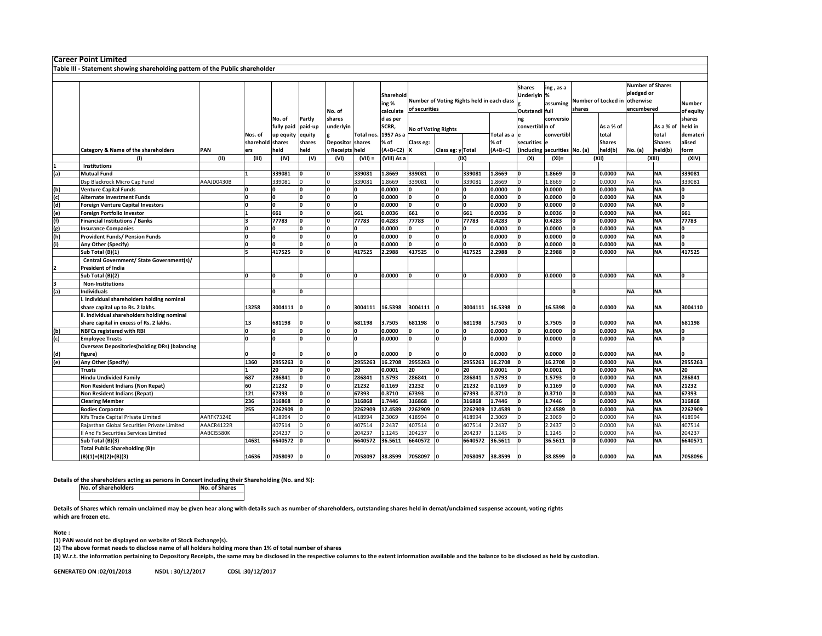|            | <b>Career Point Limited</b>                                                  |            |                  |            |         |                         |            |             |                                            |                   |         |                   |                 |                              |        |                     |                         |               |           |
|------------|------------------------------------------------------------------------------|------------|------------------|------------|---------|-------------------------|------------|-------------|--------------------------------------------|-------------------|---------|-------------------|-----------------|------------------------------|--------|---------------------|-------------------------|---------------|-----------|
|            | Table III - Statement showing shareholding pattern of the Public shareholder |            |                  |            |         |                         |            |             |                                            |                   |         |                   |                 |                              |        |                     |                         |               |           |
|            |                                                                              |            |                  |            |         |                         |            |             |                                            |                   |         |                   |                 |                              |        |                     |                         |               |           |
|            |                                                                              |            |                  |            |         |                         |            |             |                                            |                   |         |                   | <b>Shares</b>   |                              |        |                     | <b>Number of Shares</b> |               |           |
|            |                                                                              |            |                  |            |         |                         |            | Sharehold   |                                            |                   |         |                   | Underlyin %     | ing, as a                    |        |                     | pledged or              |               |           |
|            |                                                                              |            |                  |            |         |                         |            |             | Number of Voting Rights held in each class |                   |         |                   |                 |                              |        | Number of Locked in | otherwise               |               |           |
|            |                                                                              |            |                  |            |         |                         |            | ing %       |                                            | of securities     |         |                   |                 | assuming                     | shares |                     | encumbered              |               | Number    |
|            |                                                                              |            |                  |            |         | No. of                  |            | calculate   |                                            |                   |         |                   | Outstandi full  |                              |        |                     |                         |               | of equity |
|            |                                                                              |            |                  | No. of     | Partly  | shares                  |            | d as per    |                                            |                   |         |                   | ng              | conversio                    |        |                     |                         |               | shares    |
|            |                                                                              |            |                  | fully paid | paid-up | underlyin               |            | SCRR,       | <b>No of Voting Rights</b>                 |                   |         |                   | convertibl n of |                              |        | As a % of           |                         | As a % of     | held in   |
|            |                                                                              |            | Nos. of          | up equity  | equity  |                         | Total nos. | 1957 As a   |                                            |                   |         | <b>Fotal as a</b> |                 | convertibl                   |        | total               |                         | total         | demateri  |
|            |                                                                              |            | sharehold shares |            | shares  | <b>Depositor shares</b> |            | % of        | Class eg:                                  |                   |         | % of              | securities      |                              |        | <b>Shares</b>       |                         | <b>Shares</b> | alised    |
|            | <b>Category &amp; Name of the shareholders</b>                               | PAN        | ers              | held       | held    | y Receipts held         |            | $A+B+C2$    |                                            | Class eg: y Total |         | $(A+B+C)$         |                 | including securities No. (a) |        | held(b)             | No. (a)                 | held(b)       | form      |
|            | (1)                                                                          | (II)       | (III)            | (IV)       | (V)     | (VI)                    | $(VII) =$  | (VIII) As a |                                            |                   | (IX)    |                   | (X)             | $(XI) =$                     |        | (XII)               |                         | (XIII)        | (XIV)     |
|            | Institutions                                                                 |            |                  |            |         |                         |            |             |                                            |                   |         |                   |                 |                              |        |                     |                         |               |           |
| (a)        | <b>Mutual Fund</b>                                                           |            |                  | 339081     | I٥      |                         | 339081     | 1.8669      | 339081                                     |                   | 339081  | 1.8669            |                 | 1.8669                       |        | 0.0000              | <b>NA</b>               | <b>NA</b>     | 339081    |
|            | Dsp Blackrock Micro Cap Fund                                                 | AAAJD0430B |                  | 339081     |         |                         | 339081     | L.8669      | 339081                                     |                   | 339081  | 1.8669            |                 | 1.8669                       |        | 0.0000              | ΝA                      | NA            | 339081    |
| (b)        | <b>Venture Capital Funds</b>                                                 |            |                  |            |         |                         |            | 0.0000      |                                            |                   |         | 0.0000            |                 | 0.0000                       |        | 0.0000              | <b>NA</b>               | <b>NA</b>     | ٥         |
| (c)        | <b>Alternate Investment Funds</b>                                            |            |                  |            | O       |                         | o          | 0.0000      |                                            |                   |         | 0.0000            |                 | 0.0000                       |        | 0.0000              | <b>NA</b>               | <b>NA</b>     | 0         |
| (d)<br>(e) | <b>Foreign Venture Capital Investors</b>                                     |            |                  | 'n         | I۵      |                         | ١o         | 0.0000      |                                            |                   | n       | 0.0000            |                 | 0.0000                       |        | 0.0000              | <b>NA</b>               | <b>NA</b>     | O         |
|            | Foreign Portfolio Investor                                                   |            |                  | 661        | I٥      | 'n                      | 661        | 0.0036      | 661                                        | O                 | 661     | 0.0036            |                 | 0.0036                       |        | 0.0000              | <b>NA</b>               | <b>NA</b>     | 661       |
| (f)        | <b>Financial Institutions / Banks</b>                                        |            |                  | 77783      | O       |                         | 77783      | 0.4283      | 77783                                      | O                 | 77783   | 0.4283            |                 | 0.4283                       |        | 0.0000              | <b>NA</b>               | <b>NA</b>     | 77783     |
| (g)        | <b>Insurance Companies</b>                                                   |            | I۵               |            | 'n      |                         | ١o         | 0.0000      |                                            | O                 | n       | 0.0000            |                 | 0.0000                       |        | 0.0000              | ΝA                      | <b>NA</b>     | 0         |
| (h)        | Provident Funds/ Pension Funds                                               |            | I۵               |            | 'n      |                         | ١o         | 0.0000      |                                            | O                 | O       | 0.0000            |                 | 0.0000                       |        | 0.0000              | <b>NA</b>               | <b>NA</b>     | O         |
| (i)        | Any Other (Specify)                                                          |            | 'n               |            | n       |                         | o          | 0.0000      |                                            |                   |         | 0.0000            |                 | 0.0000                       |        | 0.0000              | ΝA                      | <b>NA</b>     | O         |
|            | Sub Total (B)(1)                                                             |            |                  | 417525     |         |                         | 417525     | 2.2988      | 417525                                     |                   | 417525  | 2.2988            |                 | 2.2988                       |        | 0.0000              | NA                      | <b>NA</b>     | 417525    |
|            | Central Government/ State Government(s)/                                     |            |                  |            |         |                         |            |             |                                            |                   |         |                   |                 |                              |        |                     |                         |               |           |
|            | President of India                                                           |            |                  |            |         |                         |            |             |                                            |                   |         |                   |                 |                              |        |                     |                         |               |           |
|            | Sub Total (B)(2)                                                             |            | O                | I۵         | O       |                         | ١o         | 0.0000      |                                            |                   | n       | 0.0000            |                 | 0.0000                       |        | 0.0000              | <b>NA</b>               | <b>NA</b>     | O         |
| 3          | <b>Non-Institutions</b>                                                      |            |                  |            |         |                         |            |             |                                            |                   |         |                   |                 |                              |        |                     |                         |               |           |
| (a)        | <b>Individuals</b>                                                           |            |                  |            | I۵      |                         |            |             |                                            |                   |         |                   |                 |                              |        |                     | <b>NA</b>               | <b>NA</b>     |           |
|            | Individual shareholders holding nominal                                      |            |                  |            |         |                         |            |             |                                            |                   |         |                   |                 |                              |        |                     |                         |               |           |
|            | share capital up to Rs. 2 lakhs.                                             |            | 13258            | 3004111    | I٥      |                         | 3004111    | 16.5398     | 3004111                                    | I٥                | 3004111 | 16.5398           |                 | 16.5398                      |        | 0.0000              | <b>NA</b>               | <b>NA</b>     | 3004110   |
|            | ii. Individual shareholders holding nominal                                  |            |                  |            |         |                         |            |             |                                            |                   |         |                   |                 |                              |        |                     |                         |               |           |
|            | share capital in excess of Rs. 2 lakhs.                                      |            | 13               | 681198     |         |                         | 681198     | 3.7505      | 681198                                     |                   | 681198  | 3.7505            |                 | 3.7505                       |        | 0.0000              | <b>NA</b>               | <b>NA</b>     | 681198    |
| (b)<br>(c) | <b>NBFCs registered with RBI</b>                                             |            | O                |            |         |                         | I٥         | 0.0000      |                                            |                   |         | 0.0000            |                 | 0.0000                       |        | 0.0000              | <b>NA</b>               | <b>NA</b>     |           |
|            | <b>Employee Trusts</b>                                                       |            | I۵               |            | I۵      |                         | I۵         | 0.0000      |                                            |                   |         | 0.0000            |                 | 0.0000                       |        | 0.0000              | <b>NA</b>               | <b>NA</b>     | I۵        |
|            | <b>Overseas Depositories(holding DRs) (balancing</b>                         |            |                  |            |         |                         |            |             |                                            |                   |         |                   |                 |                              |        |                     |                         |               |           |
| (d)        | figure)                                                                      |            |                  |            |         |                         |            | 0.0000      |                                            |                   |         | 0.0000            |                 | 0.0000                       |        | 0.0000              | <b>NA</b>               | <b>NA</b>     |           |
| (e)        | Any Other (Specify)                                                          |            | 1360             | 2955263    | ١o      |                         | 2955263    | 16.2708     | 2955263                                    |                   | 2955263 | 16.2708           |                 | 16.2708                      |        | 0.0000              | <b>NA</b>               | <b>NA</b>     | 2955263   |
|            | <b>Trusts</b>                                                                |            |                  | 20         | I۵      | 0                       | 20         | 0.0001      | 20                                         |                   | 20      | 0.0001            |                 | 0.0001                       |        | 0.0000              | <b>NA</b>               | <b>NA</b>     | 20        |
|            | <b>Hindu Undivided Family</b>                                                |            | 687              | 286841     |         |                         | 286841     | 1.5793      | 286841                                     | O                 | 286841  | 1.5793            |                 | 1.5793                       |        | 0.0000              | <b>NA</b>               | <b>NA</b>     | 286841    |
|            | Non Resident Indians (Non Repat)                                             |            | 60               | 21232      | I۵      |                         | 21232      | 0.1169      | 21232                                      |                   | 21232   | 0.1169            |                 | 0.1169                       |        | 0.0000              | ΝA                      | <b>NA</b>     | 21232     |
|            | Non Resident Indians (Repat)                                                 |            | 121              | 67393      |         |                         | 67393      | 0.3710      | 67393                                      |                   | 67393   | 0.3710            |                 | 0.3710                       |        | 0.0000              | ΝA                      | <b>NA</b>     | 67393     |
|            | <b>Clearing Member</b>                                                       |            | 236              | 316868     | I۵      |                         | 316868     | 1.7446      | 316868                                     |                   | 316868  | 1.7446            |                 | 1.7446                       |        | 0.0000              | <b>NA</b>               | <b>NA</b>     | 316868    |
|            | <b>Bodies Corporate</b>                                                      |            | 255              | 2262909    |         | 'n                      | 2262909    | 12.4589     | 2262909                                    |                   | 2262909 | 12.4589           |                 | 12.4589                      |        | 0.0000              | <b>NA</b>               | <b>NA</b>     | 2262909   |
|            | Kifs Trade Capital Private Limited                                           | AARFK7324E |                  | 418994     |         |                         | 418994     | 2.3069      | 418994                                     |                   | 418994  | 2.3069            |                 | 2.3069                       |        | 0.0000              | ΝA                      | <b>NA</b>     | 418994    |
|            | Rajasthan Global Securities Private Limited                                  | AAACR4122R |                  | 407514     |         |                         | 407514     | 2.2437      | 407514                                     |                   | 407514  | 2.2437            |                 | 2.2437                       |        | 0.0000              | ΝA                      | <b>NA</b>     | 407514    |
|            | Il And Fs Securities Services Limited                                        | AABCI5580K |                  | 204237     |         |                         | 204237     | 1.1245      | 204237                                     |                   | 204237  | 1.1245            |                 | .1245                        |        | 0.0000              | ΝA                      | <b>NA</b>     | 204237    |
|            | Sub Total (B)(3)                                                             |            | 14631            | 6640572    |         |                         | 6640572    | 36.5611     | 6640572                                    |                   | 6640572 | 36.5611           |                 | 36.5611                      |        | 0.0000              | <b>NA</b>               | <b>NA</b>     | 6640571   |
|            | <b>Total Public Shareholding (B)=</b>                                        |            |                  |            |         |                         |            |             |                                            |                   |         |                   |                 |                              |        |                     |                         |               |           |
|            | (B)(1)+(B)(2)+(B)(3)                                                         |            | 14636            | 7058097    |         |                         | 7058097    | 38.8599     | 7058097                                    |                   | 7058097 | 38.8599           |                 | 38.8599                      |        | 0.0000              | <b>NA</b>               | <b>NA</b>     | 7058096   |

Details of the shareholders acting as persons in Concert including their Shareholding (No. and %):

No. of shareholdersNo. of Shares

Details of Shares which remain unclaimed may be given hear along with details such as number of shareholders, outstanding shares held in demat/unclaimed suspense account, voting rights which are frozen etc.

Note :

(1) PAN would not be displayed on website of Stock Exchange(s).

(2) The above format needs to disclose name of all holders holding more than 1% of total number of shares

(3) W.r.t. the information pertaining to Depository Receipts, the same may be disclosed in the respective columns to the extent information available and the balance to be disclosed as held by custodian.